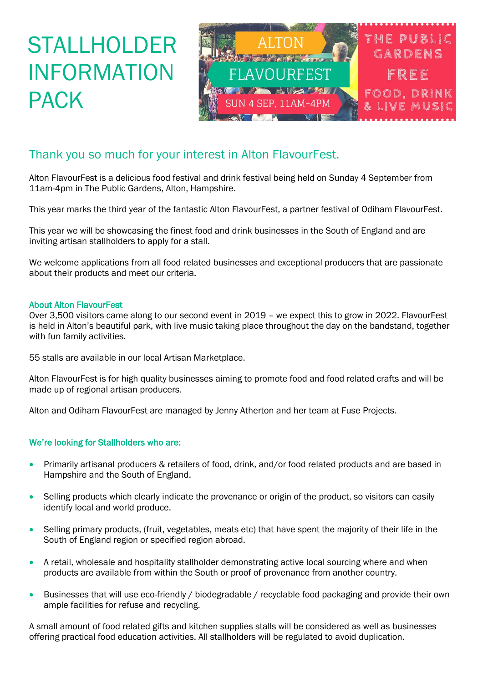## STALLHOLDER INFORMATION PACK



### Thank you so much for your interest in Alton FlavourFest.

Alton FlavourFest is a delicious food festival and drink festival being held on Sunday 4 September from 11am-4pm in The Public Gardens, Alton, Hampshire.

This year marks the third year of the fantastic Alton FlavourFest, a partner festival of Odiham FlavourFest.

This year we will be showcasing the finest food and drink businesses in the South of England and are inviting artisan stallholders to apply for a stall.

We welcome applications from all food related businesses and exceptional producers that are passionate about their products and meet our criteria.

#### About Alton FlavourFest

Over 3,500 visitors came along to our second event in 2019 – we expect this to grow in 2022. FlavourFest is held in Alton's beautiful park, with live music taking place throughout the day on the bandstand, together with fun family activities.

55 stalls are available in our local Artisan Marketplace.

Alton FlavourFest is for high quality businesses aiming to promote food and food related crafts and will be made up of regional artisan producers.

Alton and Odiham FlavourFest are managed by Jenny Atherton and her team at Fuse Projects.

#### We're looking for Stallholders who are:

- Primarily artisanal producers & retailers of food, drink, and/or food related products and are based in Hampshire and the South of England.
- Selling products which clearly indicate the provenance or origin of the product, so visitors can easily identify local and world produce.
- Selling primary products, (fruit, vegetables, meats etc) that have spent the majority of their life in the South of England region or specified region abroad.
- A retail, wholesale and hospitality stallholder demonstrating active local sourcing where and when products are available from within the South or proof of provenance from another country.
- Businesses that will use eco-friendly / biodegradable / recyclable food packaging and provide their own ample facilities for refuse and recycling.

A small amount of food related gifts and kitchen supplies stalls will be considered as well as businesses offering practical food education activities. All stallholders will be regulated to avoid duplication.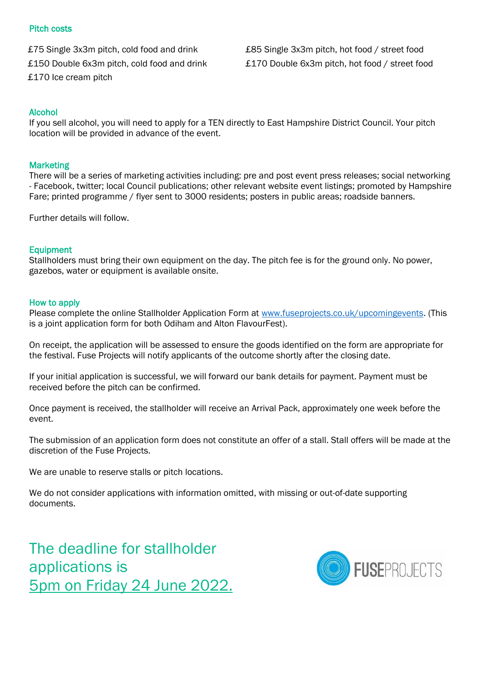#### Pitch costs

£170 Ice cream pitch

£75 Single 3x3m pitch, cold food and drink £85 Single 3x3m pitch, hot food / street food £150 Double 6x3m pitch, cold food and drink £170 Double 6x3m pitch, hot food / street food

#### Alcohol

If you sell alcohol, you will need to apply for a TEN directly to East Hampshire District Council. Your pitch location will be provided in advance of the event.

#### **Marketing**

There will be a series of marketing activities including: pre and post event press releases; social networking - Facebook, twitter; local Council publications; other relevant website event listings; promoted by Hampshire Fare; printed programme / flyer sent to 3000 residents; posters in public areas; roadside banners.

Further details will follow.

#### Equipment

Stallholders must bring their own equipment on the day. The pitch fee is for the ground only. No power, gazebos, water or equipment is available onsite.

#### How to apply

Please complete the online Stallholder Application Form at [www.fuseprojects.co.uk/upcomingevents.](http://www.fuseprojects.co.uk/upcomingevents) (This is a joint application form for both Odiham and Alton FlavourFest).

On receipt, the application will be assessed to ensure the goods identified on the form are appropriate for the festival. Fuse Projects will notify applicants of the outcome shortly after the closing date.

If your initial application is successful, we will forward our bank details for payment. Payment must be received before the pitch can be confirmed.

Once payment is received, the stallholder will receive an Arrival Pack, approximately one week before the event.

The submission of an application form does not constitute an offer of a stall. Stall offers will be made at the discretion of the Fuse Projects.

We are unable to reserve stalls or pitch locations.

We do not consider applications with information omitted, with missing or out-of-date supporting documents.

The deadline for stallholder applications is 5pm on Friday 24 June 2022.

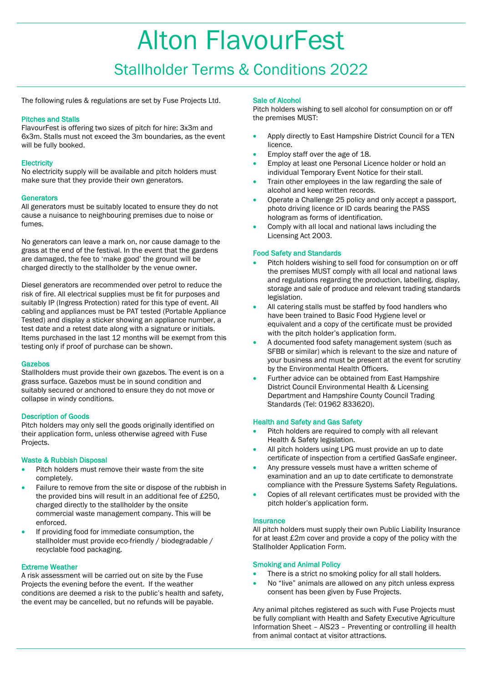# Alton FlavourFest

### Stallholder Terms & Conditions 2022

The following rules & regulations are set by Fuse Projects Ltd.

#### Pitches and Stalls

FlavourFest is offering two sizes of pitch for hire: 3x3m and 6x3m. Stalls must not exceed the 3m boundaries, as the event will be fully booked.

#### **Electricity**

No electricity supply will be available and pitch holders must make sure that they provide their own generators.

#### **Generators**

All generators must be suitably located to ensure they do not cause a nuisance to neighbouring premises due to noise or fumes.

No generators can leave a mark on, nor cause damage to the grass at the end of the festival. In the event that the gardens are damaged, the fee to 'make good' the ground will be charged directly to the stallholder by the venue owner.

Diesel generators are recommended over petrol to reduce the risk of fire. All electrical supplies must be fit for purposes and suitably IP (Ingress Protection) rated for this type of event. All cabling and appliances must be PAT tested (Portable Appliance Tested) and display a sticker showing an appliance number, a test date and a retest date along with a signature or initials. Items purchased in the last 12 months will be exempt from this testing only if proof of purchase can be shown.

#### Gazebos

Stallholders must provide their own gazebos. The event is on a grass surface. Gazebos must be in sound condition and suitably secured or anchored to ensure they do not move or collapse in windy conditions.

#### Description of Goods

Pitch holders may only sell the goods originally identified on their application form, unless otherwise agreed with Fuse Projects.

#### Waste & Rubbish Disposal

- Pitch holders must remove their waste from the site completely.
- Failure to remove from the site or dispose of the rubbish in the provided bins will result in an additional fee of £250, charged directly to the stallholder by the onsite commercial waste management company. This will be enforced.
- If providing food for immediate consumption, the stallholder must provide eco-friendly / biodegradable / recyclable food packaging.

#### Extreme Weather

A risk assessment will be carried out on site by the Fuse Projects the evening before the event. If the weather conditions are deemed a risk to the public's health and safety, the event may be cancelled, but no refunds will be payable.

#### Sale of Alcohol

Pitch holders wishing to sell alcohol for consumption on or off the premises MUST:

- Apply directly to East Hampshire District Council for a TEN licence.
- Employ staff over the age of 18.
- Employ at least one Personal Licence holder or hold an individual Temporary Event Notice for their stall.
- Train other employees in the law regarding the sale of alcohol and keep written records.
- Operate a Challenge 25 policy and only accept a passport, photo driving licence or ID cards bearing the PASS hologram as forms of identification.
- Comply with all local and national laws including the Licensing Act 2003.

#### Food Safety and Standards

- Pitch holders wishing to sell food for consumption on or off the premises MUST comply with all local and national laws and regulations regarding the production, labelling, display, storage and sale of produce and relevant trading standards legislation.
- All catering stalls must be staffed by food handlers who have been trained to Basic Food Hygiene level or equivalent and a copy of the certificate must be provided with the pitch holder's application form.
- A documented food safety management system (such as SFBB or similar) which is relevant to the size and nature of your business and must be present at the event for scrutiny by the Environmental Health Officers.
- Further advice can be obtained from East Hampshire District Council Environmental Health & Licensing Department and Hampshire County Council Trading Standards (Tel: 01962 833620).

#### Health and Safety and Gas Safety

- Pitch holders are required to comply with all relevant Health & Safety legislation.
- All pitch holders using LPG must provide an up to date certificate of inspection from a certified GasSafe engineer.
- Any pressure vessels must have a written scheme of examination and an up to date certificate to demonstrate compliance with the Pressure Systems Safety Regulations.
- Copies of all relevant certificates must be provided with the pitch holder's application form.

#### **Insurance**

All pitch holders must supply their own Public Liability Insurance for at least £2m cover and provide a copy of the policy with the Stallholder Application Form.

#### Smoking and Animal Policy

- There is a strict no smoking policy for all stall holders.
- No "live" animals are allowed on any pitch unless express consent has been given by Fuse Projects.

Any animal pitches registered as such with Fuse Projects must be fully compliant with Health and Safety Executive Agriculture Information Sheet – AIS23 – Preventing or controlling ill health from animal contact at visitor attractions.